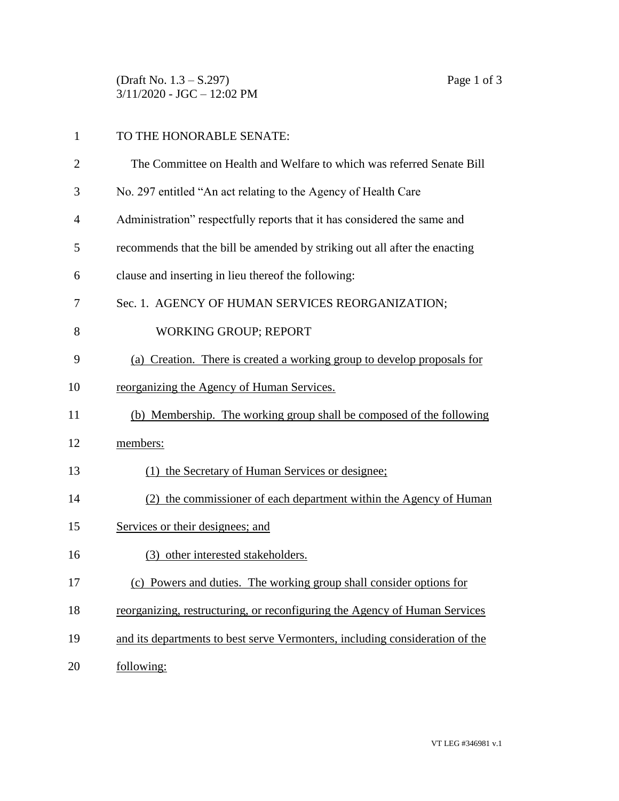(Draft No. 1.3 – S.297) Page 1 of 3 3/11/2020 - JGC – 12:02 PM

| $\mathbf{1}$ | TO THE HONORABLE SENATE:                                                     |
|--------------|------------------------------------------------------------------------------|
| 2            | The Committee on Health and Welfare to which was referred Senate Bill        |
| 3            | No. 297 entitled "An act relating to the Agency of Health Care               |
| 4            | Administration" respectfully reports that it has considered the same and     |
| 5            | recommends that the bill be amended by striking out all after the enacting   |
| 6            | clause and inserting in lieu thereof the following:                          |
| 7            | Sec. 1. AGENCY OF HUMAN SERVICES REORGANIZATION;                             |
| 8            | <b>WORKING GROUP; REPORT</b>                                                 |
| 9            | (a) Creation. There is created a working group to develop proposals for      |
| 10           | reorganizing the Agency of Human Services.                                   |
| 11           | (b) Membership. The working group shall be composed of the following         |
| 12           | members:                                                                     |
| 13           | (1) the Secretary of Human Services or designee;                             |
| 14           | (2) the commissioner of each department within the Agency of Human           |
| 15           | Services or their designees; and                                             |
| 16           | (3) other interested stakeholders.                                           |
| 17           | (c) Powers and duties. The working group shall consider options for          |
| 18           | reorganizing, restructuring, or reconfiguring the Agency of Human Services   |
| 19           | and its departments to best serve Vermonters, including consideration of the |
| 20           | following:                                                                   |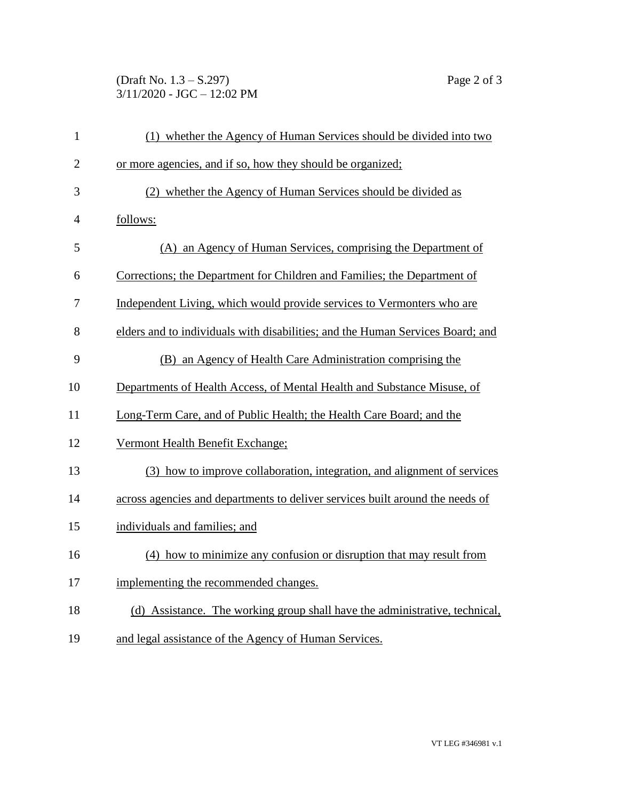(Draft No. 1.3 – S.297) Page 2 of 3 3/11/2020 - JGC – 12:02 PM

| $\mathbf{1}$   | (1) whether the Agency of Human Services should be divided into two            |
|----------------|--------------------------------------------------------------------------------|
| $\overline{2}$ | or more agencies, and if so, how they should be organized;                     |
| 3              | (2) whether the Agency of Human Services should be divided as                  |
| 4              | follows:                                                                       |
| 5              | (A) an Agency of Human Services, comprising the Department of                  |
| 6              | Corrections; the Department for Children and Families; the Department of       |
| 7              | Independent Living, which would provide services to Vermonters who are         |
| 8              | elders and to individuals with disabilities; and the Human Services Board; and |
| 9              | (B) an Agency of Health Care Administration comprising the                     |
| 10             | Departments of Health Access, of Mental Health and Substance Misuse, of        |
| 11             | Long-Term Care, and of Public Health; the Health Care Board; and the           |
| 12             | Vermont Health Benefit Exchange;                                               |
| 13             | (3) how to improve collaboration, integration, and alignment of services       |
| 14             | across agencies and departments to deliver services built around the needs of  |
| 15             | individuals and families; and                                                  |
| 16             | (4) how to minimize any confusion or disruption that may result from           |
| 17             | implementing the recommended changes.                                          |
| 18             | (d) Assistance. The working group shall have the administrative, technical,    |
| 19             | and legal assistance of the Agency of Human Services.                          |